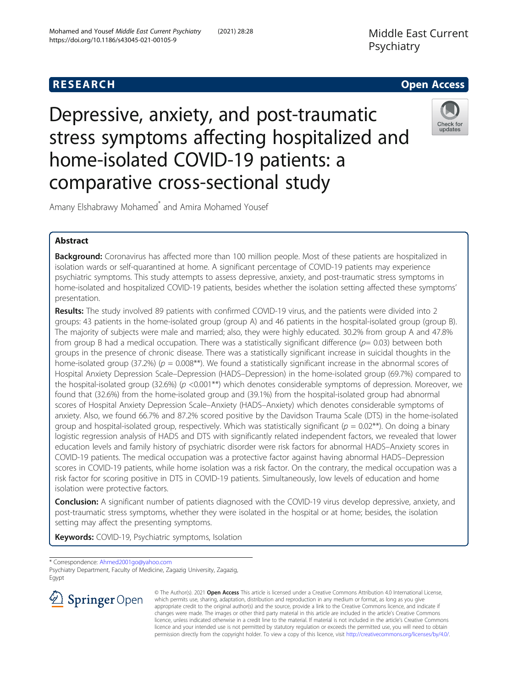# **RESEARCH CHE Open Access**

Depressive, anxiety, and post-traumatic stress symptoms affecting hospitalized and home-isolated COVID-19 patients: a comparative cross-sectional study



Amany Elshabrawy Mohamed\* and Amira Mohamed Yousef

## Abstract

**Background:** Coronavirus has affected more than 100 million people. Most of these patients are hospitalized in isolation wards or self-quarantined at home. A significant percentage of COVID-19 patients may experience psychiatric symptoms. This study attempts to assess depressive, anxiety, and post-traumatic stress symptoms in home-isolated and hospitalized COVID-19 patients, besides whether the isolation setting affected these symptoms' presentation.

Results: The study involved 89 patients with confirmed COVID-19 virus, and the patients were divided into 2 groups: 43 patients in the home-isolated group (group A) and 46 patients in the hospital-isolated group (group B). The majority of subjects were male and married; also, they were highly educated. 30.2% from group A and 47.8% from group B had a medical occupation. There was a statistically significant difference  $(p= 0.03)$  between both groups in the presence of chronic disease. There was a statistically significant increase in suicidal thoughts in the home-isolated group (37.2%) ( $p = 0.008$ \*\*). We found a statistically significant increase in the abnormal scores of Hospital Anxiety Depression Scale–Depression (HADS–Depression) in the home-isolated group (69.7%) compared to the hospital-isolated group (32.6%) ( $p$  <0.001\*\*) which denotes considerable symptoms of depression. Moreover, we found that (32.6%) from the home-isolated group and (39.1%) from the hospital-isolated group had abnormal scores of Hospital Anxiety Depression Scale–Anxiety (HADS–Anxiety) which denotes considerable symptoms of anxiety. Also, we found 66.7% and 87.2% scored positive by the Davidson Trauma Scale (DTS) in the home-isolated group and hospital-isolated group, respectively. Which was statistically significant ( $p = 0.02$ <sup>\*\*</sup>). On doing a binary logistic regression analysis of HADS and DTS with significantly related independent factors, we revealed that lower education levels and family history of psychiatric disorder were risk factors for abnormal HADS–Anxiety scores in COVID-19 patients. The medical occupation was a protective factor against having abnormal HADS–Depression scores in COVID-19 patients, while home isolation was a risk factor. On the contrary, the medical occupation was a risk factor for scoring positive in DTS in COVID-19 patients. Simultaneously, low levels of education and home isolation were protective factors.

Conclusion: A significant number of patients diagnosed with the COVID-19 virus develop depressive, anxiety, and post-traumatic stress symptoms, whether they were isolated in the hospital or at home; besides, the isolation setting may affect the presenting symptoms.

**Keywords:** COVID-19, Psychiatric symptoms, Isolation

\* Correspondence: [Ahmed2001go@yahoo.com](mailto:Ahmed2001go@yahoo.com)

Psychiatry Department, Faculty of Medicine, Zagazig University, Zagazig, Egypt



© The Author(s). 2021 Open Access This article is licensed under a Creative Commons Attribution 4.0 International License, which permits use, sharing, adaptation, distribution and reproduction in any medium or format, as long as you give appropriate credit to the original author(s) and the source, provide a link to the Creative Commons licence, and indicate if changes were made. The images or other third party material in this article are included in the article's Creative Commons licence, unless indicated otherwise in a credit line to the material. If material is not included in the article's Creative Commons licence and your intended use is not permitted by statutory regulation or exceeds the permitted use, you will need to obtain permission directly from the copyright holder. To view a copy of this licence, visit <http://creativecommons.org/licenses/by/4.0/>.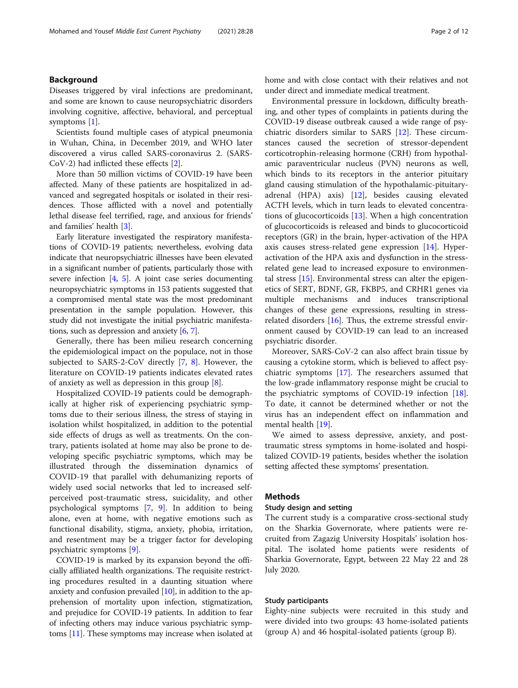## Background

Diseases triggered by viral infections are predominant, and some are known to cause neuropsychiatric disorders involving cognitive, affective, behavioral, and perceptual symptoms [[1\]](#page-10-0).

Scientists found multiple cases of atypical pneumonia in Wuhan, China, in December 2019, and WHO later discovered a virus called SARS-coronavirus 2. (SARS-CoV-2) had inflicted these effects [[2\]](#page-10-0).

More than 50 million victims of COVID-19 have been affected. Many of these patients are hospitalized in advanced and segregated hospitals or isolated in their residences. Those afflicted with a novel and potentially lethal disease feel terrified, rage, and anxious for friends' and families' health [\[3](#page-10-0)].

Early literature investigated the respiratory manifestations of COVID-19 patients; nevertheless, evolving data indicate that neuropsychiatric illnesses have been elevated in a significant number of patients, particularly those with severe infection [[4,](#page-10-0) [5](#page-10-0)]. A joint case series documenting neuropsychiatric symptoms in 153 patients suggested that a compromised mental state was the most predominant presentation in the sample population. However, this study did not investigate the initial psychiatric manifestations, such as depression and anxiety [[6,](#page-10-0) [7](#page-10-0)].

Generally, there has been milieu research concerning the epidemiological impact on the populace, not in those subjected to SARS-2-CoV directly [\[7](#page-10-0), [8\]](#page-10-0). However, the literature on COVID-19 patients indicates elevated rates of anxiety as well as depression in this group  $[8]$  $[8]$  $[8]$ .

Hospitalized COVID-19 patients could be demographically at higher risk of experiencing psychiatric symptoms due to their serious illness, the stress of staying in isolation whilst hospitalized, in addition to the potential side effects of drugs as well as treatments. On the contrary, patients isolated at home may also be prone to developing specific psychiatric symptoms, which may be illustrated through the dissemination dynamics of COVID-19 that parallel with dehumanizing reports of widely used social networks that led to increased selfperceived post-traumatic stress, suicidality, and other psychological symptoms [[7,](#page-10-0) [9](#page-10-0)]. In addition to being alone, even at home, with negative emotions such as functional disability, stigma, anxiety, phobia, irritation, and resentment may be a trigger factor for developing psychiatric symptoms [\[9](#page-10-0)].

COVID-19 is marked by its expansion beyond the officially affiliated health organizations. The requisite restricting procedures resulted in a daunting situation where anxiety and confusion prevailed [[10](#page-10-0)], in addition to the apprehension of mortality upon infection, stigmatization, and prejudice for COVID-19 patients. In addition to fear of infecting others may induce various psychiatric symptoms [\[11](#page-10-0)]. These symptoms may increase when isolated at home and with close contact with their relatives and not under direct and immediate medical treatment.

Environmental pressure in lockdown, difficulty breathing, and other types of complaints in patients during the COVID-19 disease outbreak caused a wide range of psychiatric disorders similar to SARS [[12\]](#page-10-0). These circumstances caused the secretion of stressor-dependent corticotrophin-releasing hormone (CRH) from hypothalamic paraventricular nucleus (PVN) neurons as well, which binds to its receptors in the anterior pituitary gland causing stimulation of the hypothalamic-pituitaryadrenal (HPA) axis) [[12\]](#page-10-0), besides causing elevated ACTH levels, which in turn leads to elevated concentrations of glucocorticoids [\[13\]](#page-10-0). When a high concentration of glucocorticoids is released and binds to glucocorticoid receptors (GR) in the brain, hyper-activation of the HPA axis causes stress-related gene expression [[14\]](#page-10-0). Hyperactivation of the HPA axis and dysfunction in the stressrelated gene lead to increased exposure to environmental stress [[15\]](#page-10-0). Environmental stress can alter the epigenetics of SERT, BDNF, GR, FKBP5, and CRHR1 genes via multiple mechanisms and induces transcriptional changes of these gene expressions, resulting in stressrelated disorders [[16\]](#page-10-0). Thus, the extreme stressful environment caused by COVID-19 can lead to an increased psychiatric disorder.

Moreover, SARS-CoV-2 can also affect brain tissue by causing a cytokine storm, which is believed to affect psychiatric symptoms [\[17\]](#page-10-0). The researchers assumed that the low-grade inflammatory response might be crucial to the psychiatric symptoms of COVID-19 infection [\[18](#page-10-0)]. To date, it cannot be determined whether or not the virus has an independent effect on inflammation and mental health [\[19\]](#page-10-0).

We aimed to assess depressive, anxiety, and posttraumatic stress symptoms in home-isolated and hospitalized COVID-19 patients, besides whether the isolation setting affected these symptoms' presentation.

## **Methods**

#### Study design and setting

The current study is a comparative cross-sectional study on the Sharkia Governorate, where patients were recruited from Zagazig University Hospitals' isolation hospital. The isolated home patients were residents of Sharkia Governorate, Egypt, between 22 May 22 and 28 July 2020.

## Study participants

Eighty-nine subjects were recruited in this study and were divided into two groups: 43 home-isolated patients (group A) and 46 hospital-isolated patients (group B).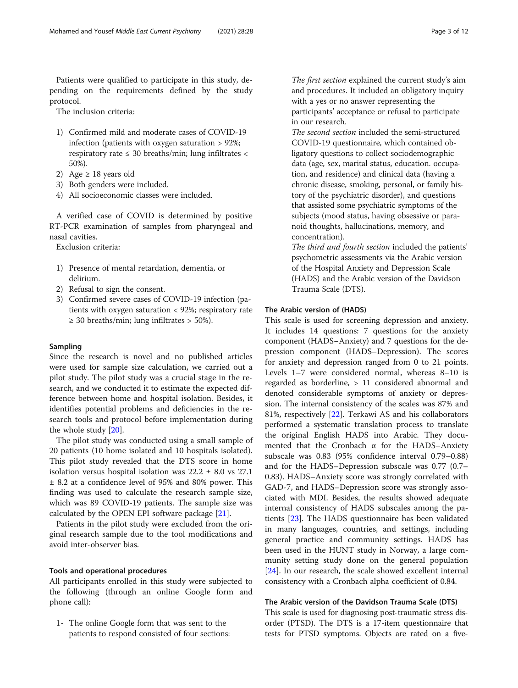Patients were qualified to participate in this study, depending on the requirements defined by the study protocol.

The inclusion criteria:

- 1) Confirmed mild and moderate cases of COVID-19 infection (patients with oxygen saturation > 92%; respiratory rate  $\leq$  30 breaths/min; lung infiltrates  $\lt$ 50%).
- 2) Age  $\geq$  18 years old
- 3) Both genders were included.
- 4) All socioeconomic classes were included.

A verified case of COVID is determined by positive RT-PCR examination of samples from pharyngeal and nasal cavities.

Exclusion criteria:

- 1) Presence of mental retardation, dementia, or delirium.
- 2) Refusal to sign the consent.
- 3) Confirmed severe cases of COVID-19 infection (patients with oxygen saturation < 92%; respiratory rate  $\geq$  30 breaths/min; lung infiltrates  $>$  50%).

#### Sampling

Since the research is novel and no published articles were used for sample size calculation, we carried out a pilot study. The pilot study was a crucial stage in the research, and we conducted it to estimate the expected difference between home and hospital isolation. Besides, it identifies potential problems and deficiencies in the research tools and protocol before implementation during the whole study [[20](#page-10-0)].

The pilot study was conducted using a small sample of 20 patients (10 home isolated and 10 hospitals isolated). This pilot study revealed that the DTS score in home isolation versus hospital isolation was  $22.2 \pm 8.0$  vs  $27.1$ ± 8.2 at a confidence level of 95% and 80% power. This finding was used to calculate the research sample size, which was 89 COVID-19 patients. The sample size was calculated by the OPEN EPI software package [[21\]](#page-10-0).

Patients in the pilot study were excluded from the original research sample due to the tool modifications and avoid inter-observer bias.

#### Tools and operational procedures

All participants enrolled in this study were subjected to the following (through an online Google form and phone call):

1- The online Google form that was sent to the patients to respond consisted of four sections: The first section explained the current study's aim and procedures. It included an obligatory inquiry with a yes or no answer representing the participants' acceptance or refusal to participate in our research.

The second section included the semi-structured COVID-19 questionnaire, which contained obligatory questions to collect sociodemographic data (age, sex, marital status, education. occupation, and residence) and clinical data (having a chronic disease, smoking, personal, or family history of the psychiatric disorder), and questions that assisted some psychiatric symptoms of the subjects (mood status, having obsessive or paranoid thoughts, hallucinations, memory, and concentration).

The third and fourth section included the patients' psychometric assessments via the Arabic version of the Hospital Anxiety and Depression Scale (HADS) and the Arabic version of the Davidson Trauma Scale (DTS).

## The Arabic version of (HADS)

This scale is used for screening depression and anxiety. It includes 14 questions: 7 questions for the anxiety component (HADS−Anxiety) and 7 questions for the depression component (HADS–Depression). The scores for anxiety and depression ranged from 0 to 21 points. Levels 1–7 were considered normal, whereas 8–10 is regarded as borderline, > 11 considered abnormal and denoted considerable symptoms of anxiety or depression. The internal consistency of the scales was 87% and 81%, respectively [\[22\]](#page-10-0). Terkawi AS and his collaborators performed a systematic translation process to translate the original English HADS into Arabic. They documented that the Cronbach α for the HADS–Anxiety subscale was 0.83 (95% confidence interval 0.79–0.88) and for the HADS–Depression subscale was 0.77 (0.7– 0.83). HADS–Anxiety score was strongly correlated with GAD-7, and HADS–Depression score was strongly associated with MDI. Besides, the results showed adequate internal consistency of HADS subscales among the patients [\[23\]](#page-10-0). The HADS questionnaire has been validated in many languages, countries, and settings, including general practice and community settings. HADS has been used in the HUNT study in Norway, a large community setting study done on the general population [[24\]](#page-10-0). In our research, the scale showed excellent internal consistency with a Cronbach alpha coefficient of 0.84.

#### The Arabic version of the Davidson Trauma Scale (DTS)

This scale is used for diagnosing post-traumatic stress disorder (PTSD). The DTS is a 17-item questionnaire that tests for PTSD symptoms. Objects are rated on a five-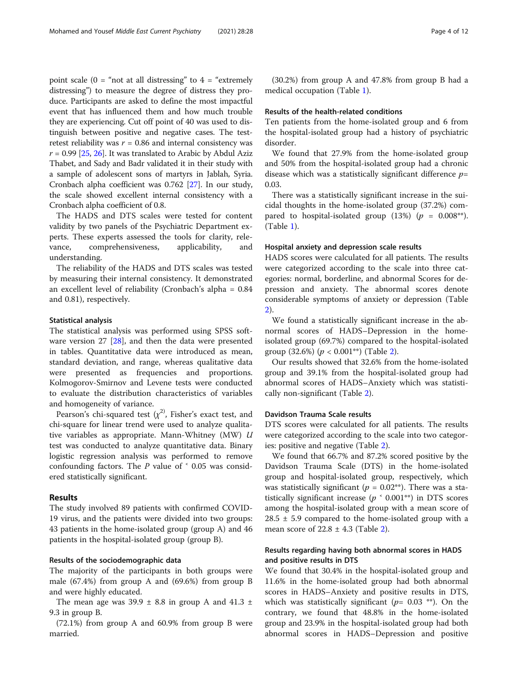point scale ( $0 = \text{``not at all distances}$ " to  $4 = \text{``extremely}$ distressing") to measure the degree of distress they produce. Participants are asked to define the most impactful event that has influenced them and how much trouble they are experiencing. Cut off point of 40 was used to distinguish between positive and negative cases. The testretest reliability was  $r = 0.86$  and internal consistency was  $r = 0.99$  [\[25](#page-10-0), [26](#page-10-0)]. It was translated to Arabic by Abdul Aziz Thabet, and Sady and Badr validated it in their study with a sample of adolescent sons of martyrs in Jablah, Syria. Cronbach alpha coefficient was 0.762 [[27](#page-10-0)]. In our study, the scale showed excellent internal consistency with a Cronbach alpha coefficient of 0.8.

The HADS and DTS scales were tested for content validity by two panels of the Psychiatric Department experts. These experts assessed the tools for clarity, relevance, comprehensiveness, applicability, and understanding.

The reliability of the HADS and DTS scales was tested by measuring their internal consistency. It demonstrated an excellent level of reliability (Cronbach's alpha = 0.84 and 0.81), respectively.

#### Statistical analysis

The statistical analysis was performed using SPSS software version 27 [[28\]](#page-10-0), and then the data were presented in tables. Quantitative data were introduced as mean, standard deviation, and range, whereas qualitative data were presented as frequencies and proportions. Kolmogorov-Smirnov and Levene tests were conducted to evaluate the distribution characteristics of variables and homogeneity of variance.

Pearson's chi-squared test  $(x^2)$ , Fisher's exact test, and chi-square for linear trend were used to analyze qualitative variables as appropriate. Mann-Whitney (MW)  $U$ test was conducted to analyze quantitative data. Binary logistic regression analysis was performed to remove confounding factors. The  $P$  value of  $\leq 0.05$  was considered statistically significant.

### Results

The study involved 89 patients with confirmed COVID-19 virus, and the patients were divided into two groups: 43 patients in the home-isolated group (group A) and 46 patients in the hospital-isolated group (group B).

## Results of the sociodemographic data

The majority of the participants in both groups were male (67.4%) from group A and (69.6%) from group B and were highly educated.

The mean age was  $39.9 \pm 8.8$  in group A and  $41.3 \pm 1.3$ 9.3 in group B.

(72.1%) from group A and 60.9% from group B were married.

#### Results of the health-related conditions

Ten patients from the home-isolated group and 6 from the hospital-isolated group had a history of psychiatric disorder.

We found that 27.9% from the home-isolated group and 50% from the hospital-isolated group had a chronic disease which was a statistically significant difference  $p=$ 0.03.

There was a statistically significant increase in the suicidal thoughts in the home-isolated group (37.2%) compared to hospital-isolated group  $(13%)$   $(p = 0.008^{**})$ . (Table [1\)](#page-4-0).

### Hospital anxiety and depression scale results

HADS scores were calculated for all patients. The results were categorized according to the scale into three categories: normal, borderline, and abnormal Scores for depression and anxiety. The abnormal scores denote considerable symptoms of anxiety or depression (Table [2\)](#page-5-0).

We found a statistically significant increase in the abnormal scores of HADS–Depression in the homeisolated group (69.7%) compared to the hospital-isolated group (3[2](#page-5-0).6%) ( $p < 0.001$ <sup>\*\*</sup>) (Table 2).

Our results showed that 32.6% from the home-isolated group and 39.1% from the hospital-isolated group had abnormal scores of HADS–Anxiety which was statistically non-significant (Table [2](#page-5-0)).

#### Davidson Trauma Scale results

DTS scores were calculated for all patients. The results were categorized according to the scale into two categories: positive and negative (Table [2](#page-5-0)).

We found that 66.7% and 87.2% scored positive by the Davidson Trauma Scale (DTS) in the home-isolated group and hospital-isolated group, respectively, which was statistically significant ( $p = 0.02$ <sup>\*\*</sup>). There was a statistically significant increase ( $p \text{ }^{\textdegree}$  0.001\*\*) in DTS scores among the hospital-isolated group with a mean score of  $28.5 \pm 5.9$  compared to the home-isolated group with a mean score of  $22.8 \pm 4.3$  (Table [2\)](#page-5-0).

## Results regarding having both abnormal scores in HADS and positive results in DTS

We found that 30.4% in the hospital-isolated group and 11.6% in the home-isolated group had both abnormal scores in HADS–Anxiety and positive results in DTS, which was statistically significant ( $p= 0.03$  \*\*). On the contrary, we found that 48.8% in the home-isolated group and 23.9% in the hospital-isolated group had both abnormal scores in HADS–Depression and positive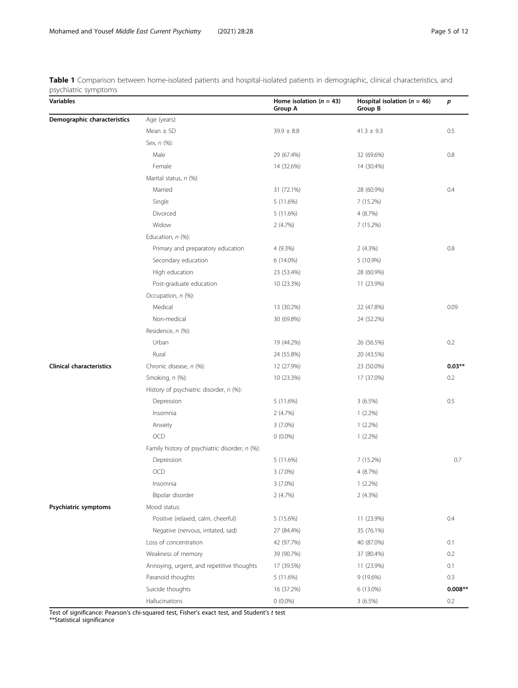<span id="page-4-0"></span>Table 1 Comparison between home-isolated patients and hospital-isolated patients in demographic, clinical characteristics, and psychiatric symptoms

| Variables                       |                                                | Home isolation ( $n = 43$ )<br>Group A | Hospital isolation ( $n = 46$ )<br>Group B | p         |
|---------------------------------|------------------------------------------------|----------------------------------------|--------------------------------------------|-----------|
| Demographic characteristics     | Age (years):                                   |                                        |                                            |           |
|                                 | Mean $\pm$ SD                                  | $39.9 \pm 8.8$                         | $41.3 \pm 9.3$                             | 0.5       |
|                                 | Sex, n (%):                                    |                                        |                                            |           |
|                                 | Male                                           | 29 (67.4%)                             | 32 (69.6%)                                 | 0.8       |
|                                 | Female                                         | 14 (32.6%)                             | 14 (30.4%)                                 |           |
|                                 | Marital status, n (%):                         |                                        |                                            |           |
|                                 | Married                                        | 31 (72.1%)                             | 28 (60.9%)                                 | 0.4       |
|                                 | Single                                         | 5 (11.6%)                              | 7 (15.2%)                                  |           |
|                                 | Divorced                                       | 5 (11.6%)                              | 4 (8.7%)                                   |           |
|                                 | Widow                                          | 2(4.7%)                                | 7 (15.2%)                                  |           |
|                                 | Education, n (%):                              |                                        |                                            |           |
|                                 | Primary and preparatory education              | 4 (9.3%)                               | 2(4.3%)                                    | 0.8       |
|                                 | Secondary education                            | 6 (14.0%)                              | 5 (10.9%)                                  |           |
|                                 | High education                                 | 23 (53.4%)                             | 28 (60.9%)                                 |           |
|                                 | Post-graduate education                        | 10 (23.3%)                             | 11 (23.9%)                                 |           |
|                                 | Occupation, n (%):                             |                                        |                                            |           |
|                                 | Medical                                        | 13 (30.2%)                             | 22 (47.8%)                                 | 0.09      |
|                                 | Non-medical                                    | 30 (69.8%)                             | 24 (52.2%)                                 |           |
|                                 | Residence, n (%):                              |                                        |                                            |           |
|                                 | Urban                                          | 19 (44.2%)                             | 26 (56.5%)                                 | 0.2       |
|                                 | Rural                                          | 24 (55.8%)                             | 20 (43.5%)                                 |           |
| <b>Clinical characteristics</b> | Chronic disease, n (%):                        | 12 (27.9%)                             | 23 (50.0%)                                 | $0.03**$  |
|                                 | Smoking, n (%):                                | 10 (23.3%)                             | 17 (37.0%)                                 | 0.2       |
|                                 | History of psychiatric disorder, n (%):        |                                        |                                            |           |
|                                 | Depression                                     | 5 (11.6%)                              | 3(6.5%)                                    | 0.5       |
|                                 | Insomnia                                       | 2(4.7%)                                | $1(2.2\%)$                                 |           |
|                                 | Anxiety                                        | $3(7.0\%)$                             | $1(2.2\%)$                                 |           |
|                                 | OCD                                            | $0(0.0\%)$                             | $1(2.2\%)$                                 |           |
|                                 | Family history of psychiatric disorder, n (%): |                                        |                                            |           |
|                                 | Depression                                     | 5 (11.6%)                              | 7 (15.2%)                                  | 0.7       |
|                                 | OCD                                            | $3(7.0\%)$                             | 4 (8.7%)                                   |           |
|                                 | Insomnia                                       | 3 (7.0%)                               | $1(2.2\%)$                                 |           |
|                                 | Bipolar disorder                               | 2(4.7%)                                | 2(4.3%)                                    |           |
| Psychiatric symptoms            | Mood status:                                   |                                        |                                            |           |
|                                 | Positive (relaxed, calm, cheerful)             | 5 (15.6%)                              | 11 (23.9%)                                 | 0.4       |
|                                 | Negative (nervous, irritated, sad)             | 27 (84.4%)                             | 35 (76.1%)                                 |           |
|                                 | Loss of concentration                          | 42 (97.7%)                             | 40 (87.0%)                                 | 0.1       |
|                                 | Weakness of memory                             | 39 (90.7%)                             | 37 (80.4%)                                 | 0.2       |
|                                 | Annoying, urgent, and repetitive thoughts      | 17 (39.5%)                             | 11 (23.9%)                                 | 0.1       |
|                                 | Paranoid thoughts                              | 5 (11.6%)                              | 9 (19.6%)                                  | 0.3       |
|                                 | Suicide thoughts                               | 16 (37.2%)                             | 6 (13.0%)                                  | $0.008**$ |
|                                 | Hallucinations                                 | $0(0.0\%)$                             | 3(6.5%)                                    | 0.2       |

Test of significance: Pearson's chi-squared test, Fisher's exact test, and Student's t test

\*\*Statistical significance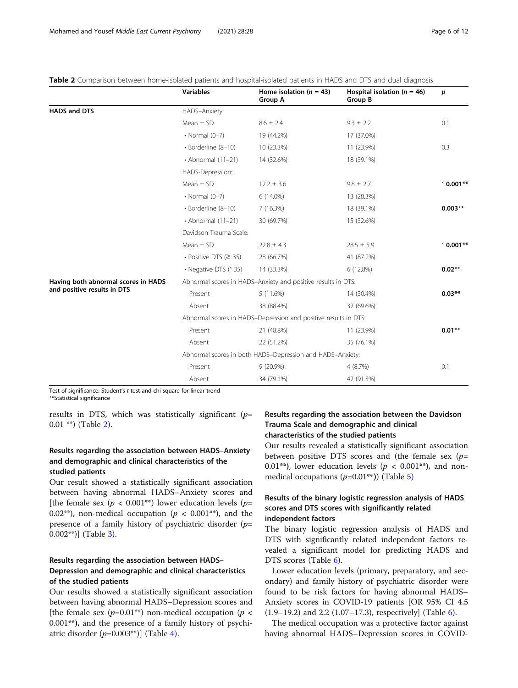|                                     | <b>Variables</b>                                             | Home isolation ( $n = 43$ )<br><b>Group A</b>                   | Hospital isolation ( $n = 46$ )<br>Group B | p          |  |  |  |
|-------------------------------------|--------------------------------------------------------------|-----------------------------------------------------------------|--------------------------------------------|------------|--|--|--|
| <b>HADS and DTS</b>                 | HADS-Anxiety:                                                |                                                                 |                                            |            |  |  |  |
|                                     | Mean $\pm$ SD                                                | $8.6 \pm 2.4$                                                   | $9.3 \pm 2.2$                              | 0.1        |  |  |  |
|                                     | $\cdot$ Normal (0-7)                                         | 19 (44.2%)                                                      | 17 (37.0%)                                 |            |  |  |  |
|                                     | · Borderline (8-10)                                          | 10 (23.3%)                                                      | 11 (23.9%)                                 | 0.3        |  |  |  |
|                                     | $\cdot$ Abnormal (11-21)                                     | 14 (32.6%)                                                      | 18 (39.1%)                                 |            |  |  |  |
|                                     | HADS-Depression:                                             |                                                                 |                                            |            |  |  |  |
|                                     | Mean $\pm$ SD                                                | $12.2 \pm 3.6$                                                  | $9.8 \pm 2.7$                              | $60.001**$ |  |  |  |
|                                     | $\cdot$ Normal (0-7)                                         | 6 (14.0%)                                                       | 13 (28.3%)                                 |            |  |  |  |
|                                     | · Borderline (8-10)                                          | 7(16.3%)                                                        | 18 (39.1%)                                 | $0.003**$  |  |  |  |
|                                     | $\cdot$ Abnormal (11-21)                                     | 30 (69.7%)                                                      | 15 (32.6%)                                 |            |  |  |  |
|                                     | Davidson Trauma Scale:                                       |                                                                 |                                            |            |  |  |  |
|                                     | Mean $\pm$ SD                                                | $22.8 \pm 4.3$                                                  | $28.5 \pm 5.9$                             | $60.001**$ |  |  |  |
|                                     | $\cdot$ Positive DTS ( $\geq$ 35)                            | 28 (66.7%)                                                      | 41 (87.2%)                                 |            |  |  |  |
|                                     | • Negative DTS (* 35)                                        | 14 (33.3%)                                                      | 6 (12.8%)                                  | $0.02**$   |  |  |  |
| Having both abnormal scores in HADS | Abnormal scores in HADS-Anxiety and positive results in DTS: |                                                                 |                                            |            |  |  |  |
| and positive results in DTS         | Present                                                      | 5(11.6%)                                                        | 14 (30.4%)                                 | $0.03***$  |  |  |  |
|                                     | Absent                                                       | 38 (88.4%)                                                      | 32 (69.6%)                                 |            |  |  |  |
|                                     |                                                              | Abnormal scores in HADS-Depression and positive results in DTS: |                                            |            |  |  |  |
|                                     | Present                                                      | 21 (48.8%)                                                      | 11 (23.9%)                                 | $0.01***$  |  |  |  |
|                                     | Absent                                                       | 22 (51.2%)                                                      | 35 (76.1%)                                 |            |  |  |  |
|                                     | Abnormal scores in both HADS-Depression and HADS-Anxiety:    |                                                                 |                                            |            |  |  |  |
|                                     | Present                                                      | $9(20.9\%)$                                                     | 4 (8.7%)                                   | 0.1        |  |  |  |
|                                     | Absent                                                       | 34 (79.1%)                                                      | 42 (91.3%)                                 |            |  |  |  |

<span id="page-5-0"></span>Table 2 Comparison between home-isolated patients and hospital-isolated patients in HADS and DTS and dual diagnosis

Test of significance: Student's t test and chi-square for linear trend \*\*Statistical significance

results in DTS, which was statistically significant ( $p=$ 0.01 \*\*) (Table 2).

## Results regarding the association between HADS–Anxiety and demographic and clinical characteristics of the studied patients

Our result showed a statistically significant association between having abnormal HADS–Anxiety scores and [the female sex ( $p < 0.001**$ ) lower education levels ( $p=$ 0.02<sup>\*\*</sup>), non-medical occupation ( $p < 0.001$ <sup>\*\*</sup>), and the presence of a family history of psychiatric disorder  $(p=$ 0.002\*\*)] (Table [3\)](#page-6-0).

## Results regarding the association between HADS– Depression and demographic and clinical characteristics of the studied patients

Our results showed a statistically significant association between having abnormal HADS–Depression scores and [the female sex  $(p=0.01^{**})$  non-medical occupation  $(p <$ 0.001\*\*), and the presence of a family history of psychiatric disorder  $(p=0.003^{**})$ ] (Table [4\)](#page-7-0).

## Results regarding the association between the Davidson Trauma Scale and demographic and clinical characteristics of the studied patients

Our results revealed a statistically significant association between positive DTS scores and (the female sex  $(p=$ 0.01\*\*), lower education levels ( $p < 0.001$ \*\*), and nonmedical occupations  $(p=0.01^{**})$ ) (Table [5\)](#page-8-0)

## Results of the binary logistic regression analysis of HADS scores and DTS scores with significantly related independent factors

The binary logistic regression analysis of HADS and DTS with significantly related independent factors revealed a significant model for predicting HADS and DTS scores (Table [6\)](#page-8-0).

Lower education levels (primary, preparatory, and secondary) and family history of psychiatric disorder were found to be risk factors for having abnormal HADS– Anxiety scores in COVID-19 patients [OR 95% CI 4.5 (1.9–19.2) and 2.2 (1.07–17.3), respectively] (Table [6](#page-8-0)).

The medical occupation was a protective factor against having abnormal HADS–Depression scores in COVID-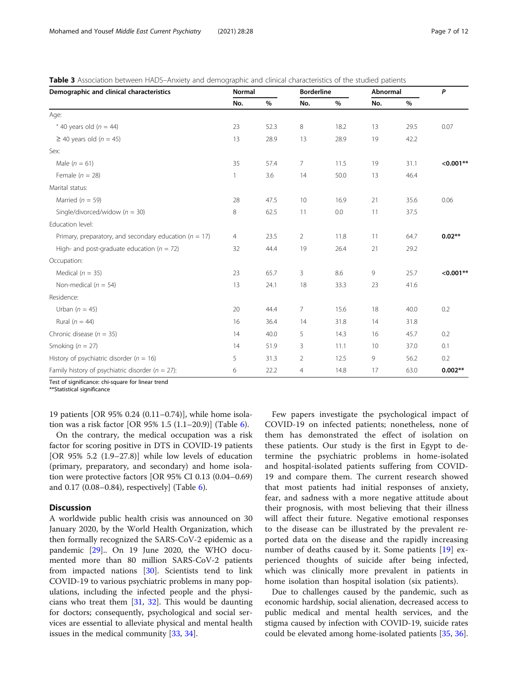<span id="page-6-0"></span>

| Table 3 Association between HADS-Anxiety and demographic and clinical characteristics of the studied patients |  |  |
|---------------------------------------------------------------------------------------------------------------|--|--|
|---------------------------------------------------------------------------------------------------------------|--|--|

| Demographic and clinical characteristics                   | <b>Normal</b>  |      | <b>Borderline</b> |      | Abnormal |      | P           |
|------------------------------------------------------------|----------------|------|-------------------|------|----------|------|-------------|
|                                                            | No.            | $\%$ | No.               | $\%$ | No.      | $\%$ |             |
| Age:                                                       |                |      |                   |      |          |      |             |
| $40$ years old ( $n = 44$ )                                | 23             | 52.3 | 8                 | 18.2 | 13       | 29.5 | 0.07        |
| $\geq$ 40 years old (n = 45)                               | 13             | 28.9 | 13                | 28.9 | 19       | 42.2 |             |
| Sex:                                                       |                |      |                   |      |          |      |             |
| Male $(n = 61)$                                            | 35             | 57.4 | 7                 | 11.5 | 19       | 31.1 | $< 0.001**$ |
| Female ( $n = 28$ )                                        | $\mathbf{1}$   | 3.6  | 14                | 50.0 | 13       | 46.4 |             |
| Marital status:                                            |                |      |                   |      |          |      |             |
| Married ( $n = 59$ )                                       | 28             | 47.5 | 10                | 16.9 | 21       | 35.6 | 0.06        |
| Single/divorced/widow ( $n = 30$ )                         | 8              | 62.5 | 11                | 0.0  | 11       | 37.5 |             |
| Education level:                                           |                |      |                   |      |          |      |             |
| Primary, preparatory, and secondary education ( $n = 17$ ) | $\overline{4}$ | 23.5 | $\overline{2}$    | 11.8 | 11       | 64.7 | $0.02**$    |
| High- and post-graduate education ( $n = 72$ )             | 32             | 44.4 | 19                | 26.4 | 21       | 29.2 |             |
| Occupation:                                                |                |      |                   |      |          |      |             |
| Medical ( $n = 35$ )                                       | 23             | 65.7 | 3                 | 8.6  | 9        | 25.7 | $< 0.001**$ |
| Non-medical ( $n = 54$ )                                   | 13             | 24.1 | 18                | 33.3 | 23       | 41.6 |             |
| Residence:                                                 |                |      |                   |      |          |      |             |
| Urban $(n = 45)$                                           | 20             | 44.4 | $\overline{7}$    | 15.6 | 18       | 40.0 | 0.2         |
| Rural ( $n = 44$ )                                         | 16             | 36.4 | 14                | 31.8 | 14       | 31.8 |             |
| Chronic disease ( $n = 35$ )                               | 14             | 40.0 | 5                 | 14.3 | 16       | 45.7 | 0.2         |
| Smoking ( $n = 27$ )                                       | 14             | 51.9 | 3                 | 11.1 | 10       | 37.0 | 0.1         |
| History of psychiatric disorder ( $n = 16$ )               | 5              | 31.3 | $\overline{2}$    | 12.5 | 9        | 56.2 | 0.2         |
| Family history of psychiatric disorder ( $n = 27$ ):       | 6              | 22.2 | 4                 | 14.8 | 17       | 63.0 | $0.002**$   |

Test of significance: chi-square for linear trend

\*\*Statistical significance

19 patients [OR 95% 0.24 (0.11–0.74)], while home isolation was a risk factor [OR 95% 1.5 (1.1–20.9)] (Table [6](#page-8-0)).

On the contrary, the medical occupation was a risk factor for scoring positive in DTS in COVID-19 patients [OR 95% 5.2 (1.9–27.8)] while low levels of education (primary, preparatory, and secondary) and home isolation were protective factors [OR 95% CI 0.13 (0.04–0.69) and 0.17 (0.08–0.84), respectively] (Table [6](#page-8-0)).

## **Discussion**

A worldwide public health crisis was announced on 30 January 2020, by the World Health Organization, which then formally recognized the SARS-CoV-2 epidemic as a pandemic [[29\]](#page-10-0).. On 19 June 2020, the WHO documented more than 80 million SARS-CoV-2 patients from impacted nations [[30\]](#page-10-0). Scientists tend to link COVID-19 to various psychiatric problems in many populations, including the infected people and the physicians who treat them [[31,](#page-10-0) [32\]](#page-10-0). This would be daunting for doctors; consequently, psychological and social services are essential to alleviate physical and mental health issues in the medical community [\[33](#page-10-0), [34](#page-10-0)].

Few papers investigate the psychological impact of COVID-19 on infected patients; nonetheless, none of them has demonstrated the effect of isolation on these patients. Our study is the first in Egypt to determine the psychiatric problems in home-isolated and hospital-isolated patients suffering from COVID-19 and compare them. The current research showed that most patients had initial responses of anxiety, fear, and sadness with a more negative attitude about their prognosis, with most believing that their illness will affect their future. Negative emotional responses to the disease can be illustrated by the prevalent reported data on the disease and the rapidly increasing number of deaths caused by it. Some patients [\[19](#page-10-0)] experienced thoughts of suicide after being infected, which was clinically more prevalent in patients in home isolation than hospital isolation (six patients).

Due to challenges caused by the pandemic, such as economic hardship, social alienation, decreased access to public medical and mental health services, and the stigma caused by infection with COVID-19, suicide rates could be elevated among home-isolated patients [\[35](#page-10-0), [36](#page-10-0)].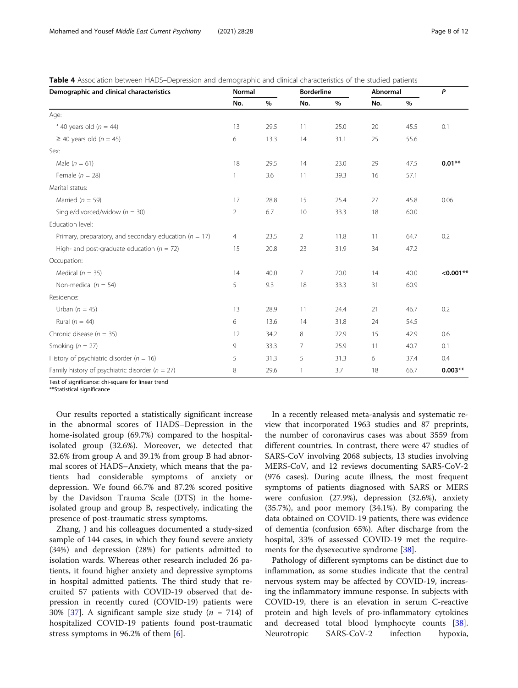<span id="page-7-0"></span>

| <b>Table 4</b> Association between HADS-Depression and demographic and clinical characteristics of the studied patients |  |
|-------------------------------------------------------------------------------------------------------------------------|--|
|-------------------------------------------------------------------------------------------------------------------------|--|

| Demographic and clinical characteristics                   | Normal         |      | <b>Borderline</b> |      | Abnormal |      | P           |
|------------------------------------------------------------|----------------|------|-------------------|------|----------|------|-------------|
|                                                            | No.            | $\%$ | No.               | $\%$ | No.      | %    |             |
| Age:                                                       |                |      |                   |      |          |      |             |
| $40$ years old ( $n = 44$ )                                | 13             | 29.5 | 11                | 25.0 | 20       | 45.5 | 0.1         |
| $\geq$ 40 years old (n = 45)                               | 6              | 13.3 | 14                | 31.1 | 25       | 55.6 |             |
| Sex:                                                       |                |      |                   |      |          |      |             |
| Male $(n = 61)$                                            | 18             | 29.5 | 14                | 23.0 | 29       | 47.5 | $0.01**$    |
| Female ( $n = 28$ )                                        | 1              | 3.6  | 11                | 39.3 | 16       | 57.1 |             |
| Marital status:                                            |                |      |                   |      |          |      |             |
| Married ( $n = 59$ )                                       | 17             | 28.8 | 15                | 25.4 | 27       | 45.8 | 0.06        |
| Single/divorced/widow ( $n = 30$ )                         | 2              | 6.7  | 10                | 33.3 | 18       | 60.0 |             |
| Education level:                                           |                |      |                   |      |          |      |             |
| Primary, preparatory, and secondary education ( $n = 17$ ) | $\overline{4}$ | 23.5 | $\overline{2}$    | 11.8 | 11       | 64.7 | 0.2         |
| High- and post-graduate education ( $n = 72$ )             | 15             | 20.8 | 23                | 31.9 | 34       | 47.2 |             |
| Occupation:                                                |                |      |                   |      |          |      |             |
| Medical ( $n = 35$ )                                       | 14             | 40.0 | $\overline{7}$    | 20.0 | 14       | 40.0 | $< 0.001**$ |
| Non-medical ( $n = 54$ )                                   | 5              | 9.3  | 18                | 33.3 | 31       | 60.9 |             |
| Residence:                                                 |                |      |                   |      |          |      |             |
| Urban $(n = 45)$                                           | 13             | 28.9 | 11                | 24.4 | 21       | 46.7 | 0.2         |
| Rural ( $n = 44$ )                                         | 6              | 13.6 | 14                | 31.8 | 24       | 54.5 |             |
| Chronic disease ( $n = 35$ )                               | 12             | 34.2 | 8                 | 22.9 | 15       | 42.9 | 0.6         |
| Smoking ( $n = 27$ )                                       | 9              | 33.3 | 7                 | 25.9 | 11       | 40.7 | 0.1         |
| History of psychiatric disorder ( $n = 16$ )               | 5              | 31.3 | 5                 | 31.3 | 6        | 37.4 | 0.4         |
| Family history of psychiatric disorder ( $n = 27$ )        | 8              | 29.6 | 1                 | 3.7  | 18       | 66.7 | $0.003**$   |

Test of significance: chi-square for linear trend

\*\*Statistical significance

Our results reported a statistically significant increase in the abnormal scores of HADS–Depression in the home-isolated group (69.7%) compared to the hospitalisolated group (32.6%). Moreover, we detected that 32.6% from group A and 39.1% from group B had abnormal scores of HADS–Anxiety, which means that the patients had considerable symptoms of anxiety or depression. We found 66.7% and 87.2% scored positive by the Davidson Trauma Scale (DTS) in the homeisolated group and group B, respectively, indicating the presence of post-traumatic stress symptoms.

Zhang, J and his colleagues documented a study-sized sample of 144 cases, in which they found severe anxiety (34%) and depression (28%) for patients admitted to isolation wards. Whereas other research included 26 patients, it found higher anxiety and depressive symptoms in hospital admitted patients. The third study that recruited 57 patients with COVID-19 observed that depression in recently cured (COVID-19) patients were 30% [[37\]](#page-10-0). A significant sample size study ( $n = 714$ ) of hospitalized COVID-19 patients found post-traumatic stress symptoms in 96.2% of them [[6\]](#page-10-0).

In a recently released meta-analysis and systematic review that incorporated 1963 studies and 87 preprints, the number of coronavirus cases was about 3559 from different countries. In contrast, there were 47 studies of SARS-CoV involving 2068 subjects, 13 studies involving MERS-CoV, and 12 reviews documenting SARS-CoV-2 (976 cases). During acute illness, the most frequent symptoms of patients diagnosed with SARS or MERS were confusion (27.9%), depression (32.6%), anxiety (35.7%), and poor memory (34.1%). By comparing the data obtained on COVID-19 patients, there was evidence of dementia (confusion 65%). After discharge from the hospital, 33% of assessed COVID-19 met the requirements for the dysexecutive syndrome [[38](#page-10-0)].

Pathology of different symptoms can be distinct due to inflammation, as some studies indicate that the central nervous system may be affected by COVID-19, increasing the inflammatory immune response. In subjects with COVID-19, there is an elevation in serum C-reactive protein and high levels of pro-inflammatory cytokines and decreased total blood lymphocyte counts [\[38](#page-10-0)]. Neurotropic SARS-CoV-2 infection hypoxia,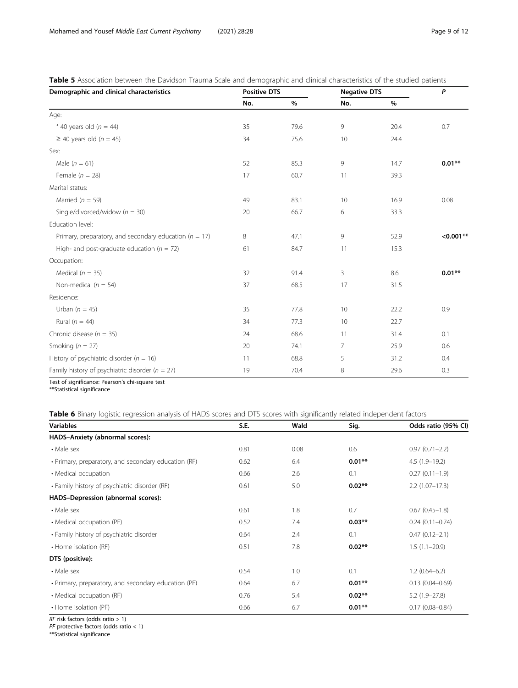| Demographic and clinical characteristics                   | <b>Positive DTS</b> |      |     | <b>Negative DTS</b> |             |
|------------------------------------------------------------|---------------------|------|-----|---------------------|-------------|
|                                                            | No.                 | $\%$ | No. | $\%$                |             |
| Age:                                                       |                     |      |     |                     |             |
| $40$ years old ( $n = 44$ )                                | 35                  | 79.6 | 9   | 20.4                | 0.7         |
| $\geq$ 40 years old (n = 45)                               | 34                  | 75.6 | 10  | 24.4                |             |
| Sex:                                                       |                     |      |     |                     |             |
| Male $(n = 61)$                                            | 52                  | 85.3 | 9   | 14.7                | $0.01**$    |
| Female $(n = 28)$                                          | 17                  | 60.7 | 11  | 39.3                |             |
| Marital status:                                            |                     |      |     |                     |             |
| Married ( $n = 59$ )                                       | 49                  | 83.1 | 10  | 16.9                | 0.08        |
| Single/divorced/widow ( $n = 30$ )                         | 20                  | 66.7 | 6   | 33.3                |             |
| Education level:                                           |                     |      |     |                     |             |
| Primary, preparatory, and secondary education ( $n = 17$ ) | 8                   | 47.1 | 9   | 52.9                | $< 0.001**$ |
| High- and post-graduate education ( $n = 72$ )             | 61                  | 84.7 | 11  | 15.3                |             |
| Occupation:                                                |                     |      |     |                     |             |
| Medical ( $n = 35$ )                                       | 32                  | 91.4 | 3   | 8.6                 | $0.01**$    |
| Non-medical ( $n = 54$ )                                   | 37                  | 68.5 | 17  | 31.5                |             |
| Residence:                                                 |                     |      |     |                     |             |
| Urban $(n = 45)$                                           | 35                  | 77.8 | 10  | 22.2                | 0.9         |
| Rural ( $n = 44$ )                                         | 34                  | 77.3 | 10  | 22.7                |             |
| Chronic disease ( $n = 35$ )                               | 24                  | 68.6 | 11  | 31.4                | 0.1         |
| Smoking ( $n = 27$ )                                       | 20                  | 74.1 | 7   | 25.9                | 0.6         |
| History of psychiatric disorder ( $n = 16$ )               | 11                  | 68.8 | 5   | 31.2                | 0.4         |
| Family history of psychiatric disorder ( $n = 27$ )        | 19                  | 70.4 | 8   | 29.6                | 0.3         |
|                                                            |                     |      |     |                     |             |

<span id="page-8-0"></span>Table 5 Association between the Davidson Trauma Scale and demographic and clinical characteristics of the studied patients

Test of significance: Pearson's chi-square test

\*\*Statistical significance

Table 6 Binary logistic regression analysis of HADS scores and DTS scores with significantly related independent factors

| <b>Variables</b>                                     | S.E. | Wald | Sig.     | Odds ratio (95% CI) |
|------------------------------------------------------|------|------|----------|---------------------|
| HADS-Anxiety (abnormal scores):                      |      |      |          |                     |
| • Male sex                                           | 0.81 | 0.08 | 0.6      | $0.97(0.71 - 2.2)$  |
| • Primary, preparatory, and secondary education (RF) | 0.62 | 6.4  | $0.01**$ | $4.5(1.9-19.2)$     |
| • Medical occupation                                 | 0.66 | 2.6  | 0.1      | $0.27(0.11 - 1.9)$  |
| • Family history of psychiatric disorder (RF)        | 0.61 | 5.0  | $0.02**$ | $2.2(1.07 - 17.3)$  |
| HADS-Depression (abnormal scores):                   |      |      |          |                     |
| • Male sex                                           | 0.61 | 1.8  | 0.7      | $0.67(0.45-1.8)$    |
| • Medical occupation (PF)                            | 0.52 | 7.4  | $0.03**$ | $0.24(0.11 - 0.74)$ |
| • Family history of psychiatric disorder             | 0.64 | 2.4  | 0.1      | $0.47(0.12 - 2.1)$  |
| • Home isolation (RF)                                | 0.51 | 7.8  | $0.02**$ | $1.5(1.1-20.9)$     |
| DTS (positive):                                      |      |      |          |                     |
| • Male sex                                           | 0.54 | 1.0  | 0.1      | $1.2(0.64 - 6.2)$   |
| • Primary, preparatory, and secondary education (PF) | 0.64 | 6.7  | $0.01**$ | $0.13(0.04 - 0.69)$ |
| • Medical occupation (RF)                            | 0.76 | 5.4  | $0.02**$ | $5.2(1.9-27.8)$     |
| • Home isolation (PF)                                | 0.66 | 6.7  | $0.01**$ | $0.17(0.08 - 0.84)$ |

RF risk factors (odds ratio > 1)

PF protective factors (odds ratio < 1)

\*\*Statistical significance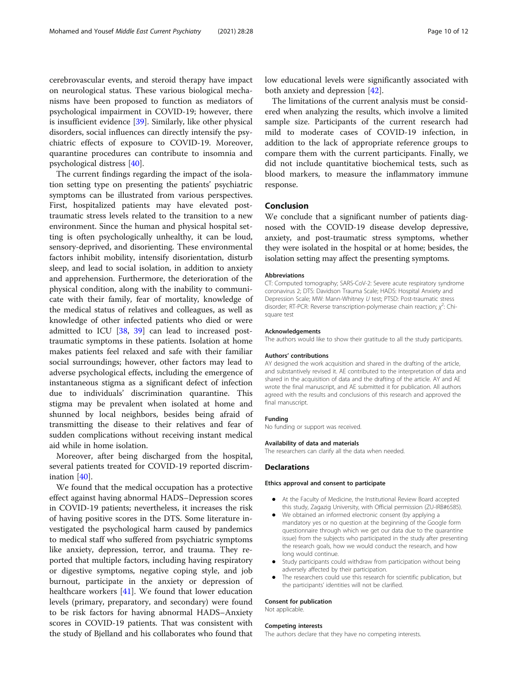cerebrovascular events, and steroid therapy have impact on neurological status. These various biological mechanisms have been proposed to function as mediators of psychological impairment in COVID-19; however, there is insufficient evidence [\[39\]](#page-10-0). Similarly, like other physical disorders, social influences can directly intensify the psychiatric effects of exposure to COVID-19. Moreover, quarantine procedures can contribute to insomnia and psychological distress [[40](#page-10-0)].

The current findings regarding the impact of the isolation setting type on presenting the patients' psychiatric symptoms can be illustrated from various perspectives. First, hospitalized patients may have elevated posttraumatic stress levels related to the transition to a new environment. Since the human and physical hospital setting is often psychologically unhealthy, it can be loud, sensory-deprived, and disorienting. These environmental factors inhibit mobility, intensify disorientation, disturb sleep, and lead to social isolation, in addition to anxiety and apprehension. Furthermore, the deterioration of the physical condition, along with the inability to communicate with their family, fear of mortality, knowledge of the medical status of relatives and colleagues, as well as knowledge of other infected patients who died or were admitted to ICU [[38,](#page-10-0) [39\]](#page-10-0) can lead to increased posttraumatic symptoms in these patients. Isolation at home makes patients feel relaxed and safe with their familiar social surroundings; however, other factors may lead to adverse psychological effects, including the emergence of instantaneous stigma as a significant defect of infection due to individuals' discrimination quarantine. This stigma may be prevalent when isolated at home and shunned by local neighbors, besides being afraid of transmitting the disease to their relatives and fear of sudden complications without receiving instant medical aid while in home isolation.

Moreover, after being discharged from the hospital, several patients treated for COVID-19 reported discrimination [\[40](#page-10-0)].

We found that the medical occupation has a protective effect against having abnormal HADS–Depression scores in COVID-19 patients; nevertheless, it increases the risk of having positive scores in the DTS. Some literature investigated the psychological harm caused by pandemics to medical staff who suffered from psychiatric symptoms like anxiety, depression, terror, and trauma. They reported that multiple factors, including having respiratory or digestive symptoms, negative coping style, and job burnout, participate in the anxiety or depression of healthcare workers [\[41](#page-10-0)]. We found that lower education levels (primary, preparatory, and secondary) were found to be risk factors for having abnormal HADS–Anxiety scores in COVID-19 patients. That was consistent with the study of Bjelland and his collaborates who found that low educational levels were significantly associated with both anxiety and depression [\[42\]](#page-11-0).

The limitations of the current analysis must be considered when analyzing the results, which involve a limited sample size. Participants of the current research had mild to moderate cases of COVID-19 infection, in addition to the lack of appropriate reference groups to compare them with the current participants. Finally, we did not include quantitative biochemical tests, such as blood markers, to measure the inflammatory immune response.

#### Conclusion

We conclude that a significant number of patients diagnosed with the COVID-19 disease develop depressive, anxiety, and post-traumatic stress symptoms, whether they were isolated in the hospital or at home; besides, the isolation setting may affect the presenting symptoms.

#### Abbreviations

CT: Computed tomography; SARS-CoV-2: Severe acute respiratory syndrome coronavirus 2; DTS: Davidson Trauma Scale; HADS: Hospital Anxiety and Depression Scale; MW: Mann-Whitney U test; PTSD: Post-traumatic stress disorder; RT-PCR: Reverse transcription-polymerase chain reaction;  $\chi^2$ : Chisquare test

#### Acknowledgements

The authors would like to show their gratitude to all the study participants.

#### Authors' contributions

AY designed the work acquisition and shared in the drafting of the article, and substantively revised it. AE contributed to the interpretation of data and shared in the acquisition of data and the drafting of the article. AY and AE wrote the final manuscript, and AE submitted it for publication. All authors agreed with the results and conclusions of this research and approved the final manuscript.

#### Funding

No funding or support was received.

#### Availability of data and materials

The researchers can clarify all the data when needed.

#### Declarations

#### Ethics approval and consent to participate

- At the Faculty of Medicine, the Institutional Review Board accepted this study, Zagazig University, with Official permission (ZU-IRB#6585).
- We obtained an informed electronic consent (by applying a mandatory yes or no question at the beginning of the Google form questionnaire through which we get our data due to the quarantine issue) from the subjects who participated in the study after presenting the research goals, how we would conduct the research, and how long would continue.
- Study participants could withdraw from participation without being adversely affected by their participation.
- The researchers could use this research for scientific publication, but the participants' identities will not be clarified.

#### Consent for publication

Not applicable.

#### Competing interests

The authors declare that they have no competing interests.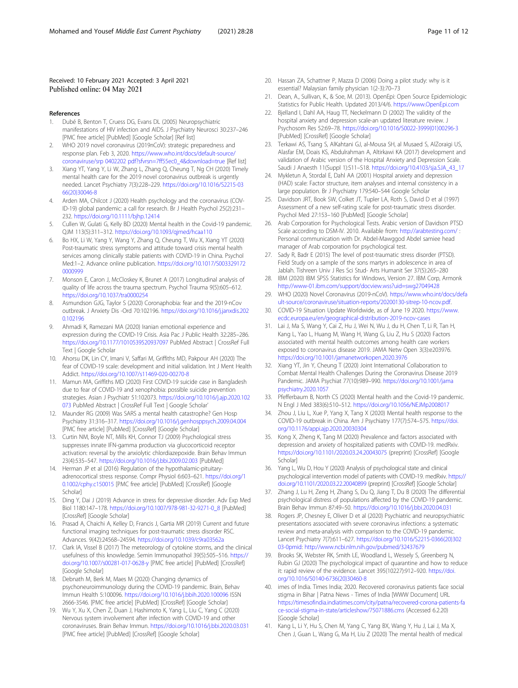#### <span id="page-10-0"></span>Received: 10 February 2021 Accepted: 3 April 2021 Published online: 04 May 2021

- References
- 1. Dubé B, Benton T, Cruess DG, Evans DL (2005) Neuropsychiatric manifestations of HIV infection and AIDS. J Psychiatry Neurosci 30:237–246 [PMC free article] [PubMed] [Google Scholar] [Ref list]
- 2. WHO 2019 novel coronavirus (2019nCoV): strategic preparedness and response plan. Feb 3, 2020. [https://www.who.int/docs/default-source/](https://www.who.int/docs/default-source/coronaviruse/srp%200402202%20pdf?sfvrsn=7ff55ec0_4&download=true) [coronaviruse/srp 0402202 pdf?sfvrsn=7ff55ec0\\_4&download=true](https://www.who.int/docs/default-source/coronaviruse/srp%200402202%20pdf?sfvrsn=7ff55ec0_4&download=true) [Ref list]
- 3. Xiang YT, Yang Y, Li W, Zhang L, Zhang Q, Cheung T, Ng CH (2020) Timely mental health care for the 2019 novel coronavirus outbreak is urgently needed. Lancet Psychiatry 7(3):228–229. [https://doi.org/10.1016/S2215-03](https://doi.org/10.1016/S2215-0366(20)30046-8) [66\(20\)30046-8](https://doi.org/10.1016/S2215-0366(20)30046-8)
- 4. Arden MA, Chilcot J (2020) Health psychology and the coronavirus (COV-ID-19) global pandemic: a call for research. Br J Health Psychol 25(2):231– 232. <https://doi.org/10.1111/bjhp.12414>
- 5. Cullen W, Gulati G, Kelly BD (2020) Mental health in the Covid-19 pandemic. QJM 113(5):311–312. <https://doi.org/10.1093/qjmed/hcaa110>
- 6. Bo HX, Li W, Yang Y, Wang Y, Zhang Q, Cheung T, Wu X, Xiang YT (2020) Post-traumatic stress symptoms and attitude toward crisis mental health services among clinically stable patients with COVID-19 in China. Psychol Med:1–2. Advance online publication. [https://doi.org/10.1017/S003329172](https://doi.org/10.1017/S0033291720000999) [0000999](https://doi.org/10.1017/S0033291720000999)
- 7. Monson E, Caron J, McCloskey K, Brunet A (2017) Longitudinal analysis of quality of life across the trauma spectrum. Psychol Trauma 9(5):605–612. <https://doi.org/10.1037/tra0000254>
- 8. Asmundson GJG, Taylor S (2020) Coronaphobia: fear and the 2019-nCov outbreak. J Anxiety Dis -Ord 70:102196. [https://doi.org/10.1016/j.janxdis.202](https://doi.org/10.1016/j.janxdis.2020.102196) [0.102196](https://doi.org/10.1016/j.janxdis.2020.102196)
- Ahmadi K, Ramezani MA (2020) Iranian emotional experience and expression during the COVID-19 Crisis. Asia Pac J Public Health 32:285–286. <https://doi.org/10.1177/1010539520937097> PubMed Abstract | CrossRef Full Text | Google Scholar
- 10. Ahorsu DK, Lin CY, Imani V, Saffari M, Griffiths MD, Pakpour AH (2020) The fear of COVID-19 scale: development and initial validation. Int J Ment Health Addict. <https://doi.org/10.1007/s11469-020-00270-8>
- 11. Mamun MA, Griffiths MD (2020) First COVID-19 suicide case in Bangladesh due to fear of COVID-19 and xenophobia: possible suicide prevention strategies. Asian J Psychiatr 51:102073. [https://doi.org/10.1016/j.ajp.2020.102](https://doi.org/10.1016/j.ajp.2020.102073) [073](https://doi.org/10.1016/j.ajp.2020.102073) PubMed Abstract | CrossRef Full Text | Google Scholar'
- 12. Maunder RG (2009) Was SARS a mental health catastrophe? Gen Hosp Psychiatry 31:316–317. <https://doi.org/10.1016/j.genhosppsych.2009.04.004> [PMC free article] [PubMed] [CrossRef] [Google Scholar]
- 13. Curtin NM, Boyle NT, Mills KH, Connor TJ (2009) Psychological stress suppresses innate IFN-gamma production via glucocorticoid receptor activation: reversal by the anxiolytic chlordiazepoxide. Brain Behav Immun 23(4):535–547. <https://doi.org/10.1016/j.bbi.2009.02.003> [PubMed]
- 14. Herman JP et al (2016) Regulation of the hypothalamic-pituitaryadrenocortical stress response. Compr Physiol 6:603–621. [https://doi.org/1](https://doi.org/10.1002/cphy.c150015) [0.1002/cphy.c150015](https://doi.org/10.1002/cphy.c150015) [PMC free article] [PubMed] [CrossRef] [Google Scholar]
- 15. Ding Y, Dai J (2019) Advance in stress for depressive disorder. Adv Exp Med Biol 1180:147–178. [https://doi.org/10.1007/978-981-32-9271-0\\_8](https://doi.org/10.1007/978-981-32-9271-0_8) [PubMed] [CrossRef] [Google Scholar]
- 16. Prasad A, Chaichi A, Kelley D, Francis J, Gartia MR (2019) Current and future functional imaging techniques for post-traumatic stress disorder RSC. Advances. 9(42):24568–24594. <https://doi.org/10.1039/c9ra03562a>
- 17. Clark IA, Vissel B (2017) The meteorology of cytokine storms, and the clinical usefulness of this knowledge. Semin Immunopathol 39(5):505–516. [https://](https://doi.org/10.1007/s00281-017-0628-y) [doi.org/10.1007/s00281-017-0628-y](https://doi.org/10.1007/s00281-017-0628-y) [PMC free article] [PubMed] [CrossRef] [Google Scholar]
- 18. Debnath M, Berk M, Maes M (2020) Changing dynamics of psychoneuroimmunology during the COVID-19 pandemic. Brain, Behav Immun Health 5:100096. <https://doi.org/10.1016/j.bbih.2020.100096> ISSN 2666-3546. [PMC free article] [PubMed] [CrossRef] [Google Scholar]
- 19. Wu Y, Xu X, Chen Z, Duan J, Hashimoto K, Yang L, Liu C, Yang C (2020) Nervous system involvement after infection with COVID-19 and other coronaviruses. Brain Behav Immun. <https://doi.org/10.1016/j.bbi.2020.03.031> [PMC free article] [PubMed] [CrossRef] [Google Scholar]
- 20. Hassan ZA, Schattner P, Mazza D (2006) Doing a pilot study: why is it essential? Malaysian family physician 1(2-3):70–73
- 21. Dean, A., Sullivan, K., & Soe, M. (2013). OpenEpi: Open Source Epidemiologic Statistics for Public Health. Updated 2013/4/6. [https://www.OpenEpi.com](https://www.openepi.com)
- 22. Bjelland I, Dahl AA, Haug TT, Neckelmann D (2002) The validity of the hospital anxiety and depression scale-an updated literature review. J Psychosom Res 52:69–78. [https://doi.org/10.1016/S0022-3999\(01\)00296-3](https://doi.org/10.1016/S0022-3999(01)00296-3) [PubMed] [CrossRef] [Google Scholar]
- 23. Terkawi AS, Tsang S, AlKahtani GJ, al-Mousa SH, al Musaed S, AlZoraigi US, Alasfar EM, Doais KS, Abdulrahman A, Altirkawi KA (2017) development and validation of Arabic version of the Hospital Anxiety and Depression Scale. Saudi J Anaesth 11(Suppl 1):S11–S18. [https://doi.org/10.4103/sja.SJA\\_43\\_17](https://doi.org/10.4103/sja.SJA_43_17)
- 24. Mykletun A, Stordal E, Dahl AA (2001) Hospital anxiety and depression (HAD) scale: Factor structure, item analyses and internal consistency in a large population. Br J Psychiatry 179:540–544 Google Scholar
- 25. Davidson JRT, Book SW, Colket JT, Tupler LA, Roth S, David D et al (1997) Assessment of a new self-rating scale for post-traumatic stress disorder. Psychol Med 27:153–160 [PubMed] [Google Scholar]
- 26. Arab Corporation for Psychological Tests. Arabic version of Davidson PTSD Scale according to DSM-IV. 2010. Available from: <http://arabtesting.com/> : Personal communication with Dr. Abdel-Mawggod Abdel samiee head manager of Arab corporation for psychological test.
- 27. Sady R, Badr E (2015) The level of post-traumatic stress disorder (PTSD). Field Study on a sample of the sons martyrs in adolescence in area of Jablah. Tishreen Univ J Res Sci Stud- Arts Humanit Ser 37(5):265–280
- 28. IBM (2020) IBM SPSS Statistics for Windows, Version 27. IBM Corp, Armonk <http://www-01.ibm.com/support/docview.wss?uid=swg27049428>
- 29. WHO (2020) Novel Coronavirus (2019-nCoV). [https://www.who.int/docs/defa](https://www.who.int/docs/default-source/coronaviruse/situation-reports/20200130-sitrep-10-ncov.pdf) [ult-source/coronaviruse/situation-reports/20200130-sitrep-10-ncov.pdf](https://www.who.int/docs/default-source/coronaviruse/situation-reports/20200130-sitrep-10-ncov.pdf).
- 30. COVID-19 Situation Update Worldwide, as of June 19 2020. [https://www.](https://www.ecdc.europa.eu/en/geographical-distribution-2019-ncov-cases) [ecdc.europa.eu/en/geographical-distribution-2019-ncov-cases](https://www.ecdc.europa.eu/en/geographical-distribution-2019-ncov-cases)
- 31. Lai J, Ma S, Wang Y, Cai Z, Hu J, Wei N, Wu J, du H, Chen T, Li R, Tan H, Kang L, Yao L, Huang M, Wang H, Wang G, Liu Z, Hu S (2020) Factors associated with mental health outcomes among health care workers exposed to coronavirus disease 2019. JAMA Netw Open 3(3):e203976. <https://doi.org/10.1001/jamanetworkopen.2020.3976>
- 32. Xiang YT, Jin Y, Cheung T (2020) Joint International Collaboration to Combat Mental Health Challenges During the Coronavirus Disease 2019 Pandemic. JAMA Psychiat 77(10):989–990. [https://doi.org/10.1001/jama](https://doi.org/10.1001/jamapsychiatry.2020.1057) [psychiatry.2020.1057](https://doi.org/10.1001/jamapsychiatry.2020.1057)
- 33. Pfefferbaum B, North CS (2020) Mental health and the Covid-19 pandemic. N Engl J Med 383(6):510–512. <https://doi.org/10.1056/NEJMp2008017>
- 34. Zhou J, Liu L, Xue P, Yang X, Tang X (2020) Mental health response to the COVID-19 outbreak in China. Am J Psychiatry 177(7):574–575. [https://doi.](https://doi.org/10.1176/appi.ajp.2020.20030304) [org/10.1176/appi.ajp.2020.20030304](https://doi.org/10.1176/appi.ajp.2020.20030304)
- 35. Kong X, Zheng K, Tang M (2020) Prevalence and factors associated with depression and anxiety of hospitalized patients with COVID-19. medRxiv. <https://doi.org/10.1101/2020.03.24.20043075> (preprint) [CrossRef] [Google **Scholarl**
- 36. Yang L, Wu D, Hou Y (2020) Analysis of psychological state and clinical psychological intervention model of patients with COVID-19. medRxiv. [https://](https://doi.org/10.1101/2020.03.22.20040899) [doi.org/10.1101/2020.03.22.20040899](https://doi.org/10.1101/2020.03.22.20040899) (preprint) [CrossRef] [Google Scholar]
- 37. Zhang J, Lu H, Zeng H, Zhang S, Du Q, Jiang T, Du B (2020) The differential psychological distress of populations affected by the COVID-19 pandemic. Brain Behav Immun 87:49–50. <https://doi.org/10.1016/j.bbi.2020.04.031>
- 38. Rogers JP, Chesney E, Oliver D et al (2020) Psychiatric and neuropsychiatric presentations associated with severe coronavirus infections: a systematic review and meta-analysis with comparison to the COVID-19 pandemic. Lancet Psychiatry 7(7):611–627. [https://doi.org/10.1016/S2215-0366\(20\)302](https://doi.org/10.1016/S2215-0366(20)30203-0pmid) [03-0pmid](https://doi.org/10.1016/S2215-0366(20)30203-0pmid): <http://www.ncbi.nlm.nih.gov/pubmed/32437679>
- 39. Brooks SK, Webster RK, Smith LE, Woodland L, Wessely S, Greenberg N, Rubin GJ (2020) The psychological impact of quarantine and how to reduce it: rapid review of the evidence. Lancet 395(10227):912–920. [https://doi.](https://doi.org/10.1016/S0140-6736(20)30460-8) [org/10.1016/S0140-6736\(20\)30460-8](https://doi.org/10.1016/S0140-6736(20)30460-8)
- 40. imes of India. Times India; 2020. Recovered coronavirus patients face social stigma in Bihar | Patna News - Times of India [WWW Document] URL [https://timesofindia.indiatimes.com/city/patna/recovered-corona-patients-fa](https://timesofindia.indiatimes.com/city/patna/recovered-corona-patients-face-social-stigma-in-state/articleshow/75071886.cms) [ce-social-stigma-in-state/articleshow/75071886.cms](https://timesofindia.indiatimes.com/city/patna/recovered-corona-patients-face-social-stigma-in-state/articleshow/75071886.cms) (Accessed 6.2.20) [Google Scholar]
- 41. Kang L, Li Y, Hu S, Chen M, Yang C, Yang BX, Wang Y, Hu J, Lai J, Ma X, Chen J, Guan L, Wang G, Ma H, Liu Z (2020) The mental health of medical